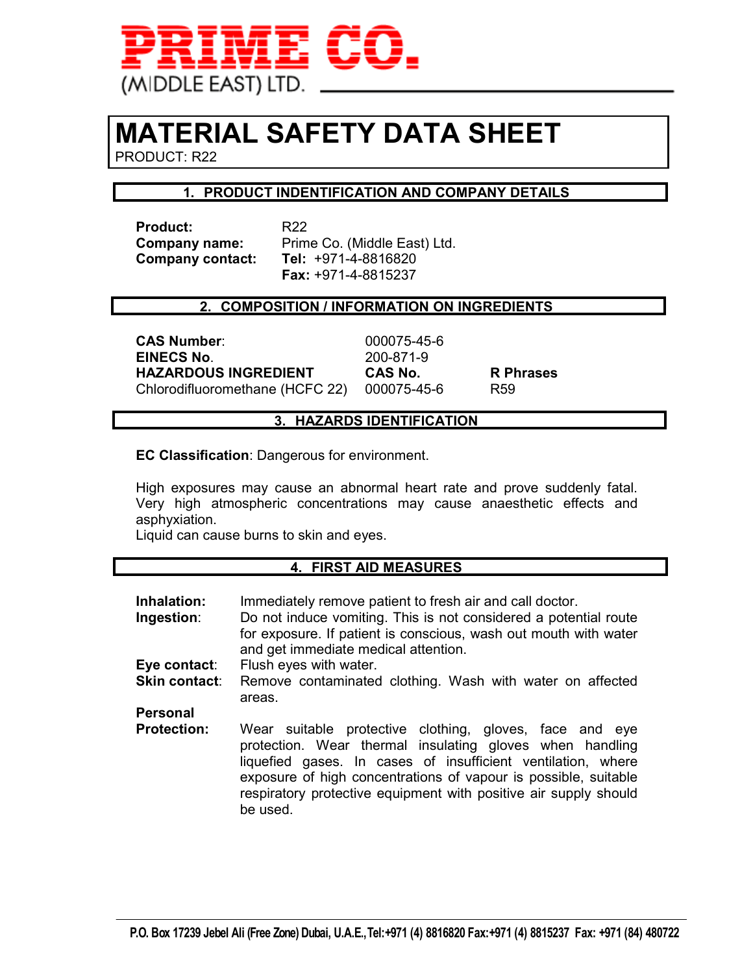

# **MATERIAL SAFETY DATA SHEET**

PRODUCT: R22

# **1. PRODUCT INDENTIFICATION AND COMPANY DETAILS**

**Product:** R22 **Company contact:** 

**Company name:** Prime Co. (Middle East) Ltd.<br>**Company contact: Tel:** +971-4-8816820  **Fax:** +971-4-8815237

#### **2. COMPOSITION / INFORMATION ON INGREDIENTS**

**CAS Number**: 000075-45-6 **EINECS No**. 200-871-9 **HAZARDOUS INGREDIENT CAS No. R Phrases**  Chlorodifluoromethane (HCFC 22) 000075-45-6 R59

#### **3. HAZARDS IDENTIFICATION**

**EC Classification**: Dangerous for environment.

High exposures may cause an abnormal heart rate and prove suddenly fatal. Very high atmospheric concentrations may cause anaesthetic effects and asphyxiation.

Liquid can cause burns to skin and eyes.

## **4. FIRST AID MEASURES**

| Inhalation:<br>Ingestion: | Immediately remove patient to fresh air and call doctor.<br>Do not induce vomiting. This is not considered a potential route<br>for exposure. If patient is conscious, wash out mouth with water<br>and get immediate medical attention.                                                                                               |  |
|---------------------------|----------------------------------------------------------------------------------------------------------------------------------------------------------------------------------------------------------------------------------------------------------------------------------------------------------------------------------------|--|
| Eye contact:              | Flush eyes with water.                                                                                                                                                                                                                                                                                                                 |  |
| <b>Skin contact:</b>      | Remove contaminated clothing. Wash with water on affected<br>areas.                                                                                                                                                                                                                                                                    |  |
| <b>Personal</b>           |                                                                                                                                                                                                                                                                                                                                        |  |
| <b>Protection:</b>        | Wear suitable protective clothing, gloves, face and eye<br>protection. Wear thermal insulating gloves when handling<br>liquefied gases. In cases of insufficient ventilation, where<br>exposure of high concentrations of vapour is possible, suitable<br>respiratory protective equipment with positive air supply should<br>be used. |  |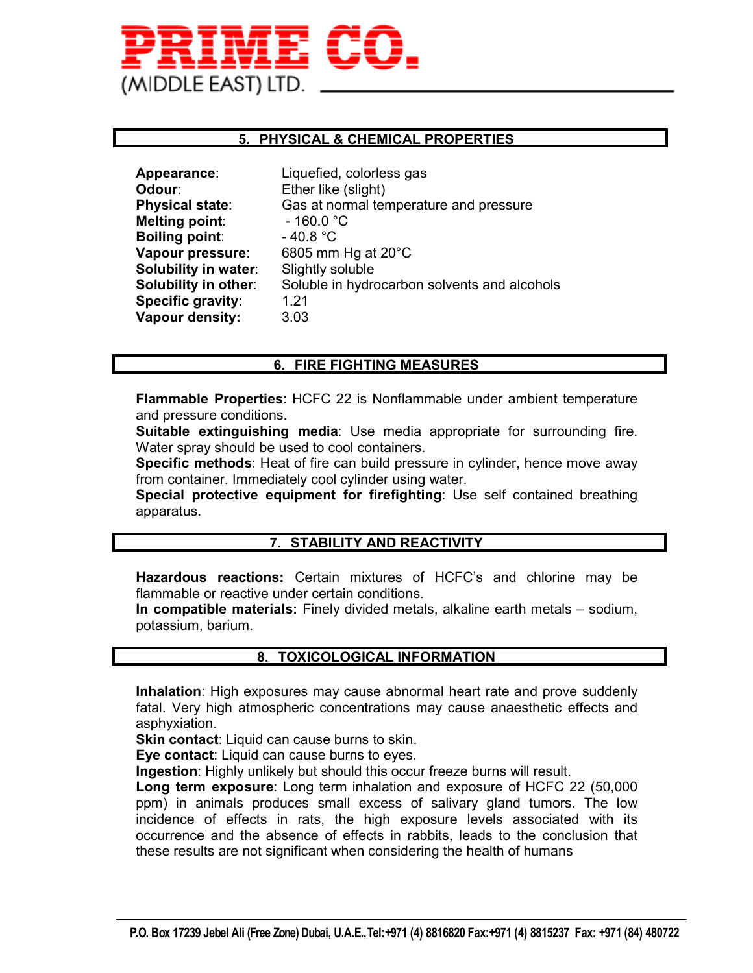

#### **5. PHYSICAL & CHEMICAL PROPERTIES**

| Physical state:<br>Gas at normal temperature and pressure<br>Melting point:<br>$-160.0 °C$<br><b>Boiling point:</b><br>$-40.8 °C$<br>Vapour pressure:<br>6805 mm Hg at 20°C<br><b>Solubility in water:</b><br>Slightly soluble<br><b>Solubility in other:</b><br>Soluble in hydrocarbon solvents and alcohols<br>Specific gravity:<br>1.21<br>Vapour density:<br>3.03 | Appearance:<br><b>Odour</b> : | Liquefied, colorless gas<br>Ether like (slight) |
|-----------------------------------------------------------------------------------------------------------------------------------------------------------------------------------------------------------------------------------------------------------------------------------------------------------------------------------------------------------------------|-------------------------------|-------------------------------------------------|
|                                                                                                                                                                                                                                                                                                                                                                       |                               |                                                 |
|                                                                                                                                                                                                                                                                                                                                                                       |                               |                                                 |
|                                                                                                                                                                                                                                                                                                                                                                       |                               |                                                 |
|                                                                                                                                                                                                                                                                                                                                                                       |                               |                                                 |
|                                                                                                                                                                                                                                                                                                                                                                       |                               |                                                 |
|                                                                                                                                                                                                                                                                                                                                                                       |                               |                                                 |
|                                                                                                                                                                                                                                                                                                                                                                       |                               |                                                 |
|                                                                                                                                                                                                                                                                                                                                                                       |                               |                                                 |

# **6. FIRE FIGHTING MEASURES**

**Flammable Properties**: HCFC 22 is Nonflammable under ambient temperature and pressure conditions.

**Suitable extinguishing media**: Use media appropriate for surrounding fire. Water spray should be used to cool containers.

**Specific methods**: Heat of fire can build pressure in cylinder, hence move away from container. Immediately cool cylinder using water.

**Special protective equipment for firefighting**: Use self contained breathing apparatus.

## **7. STABILITY AND REACTIVITY**

**Hazardous reactions:** Certain mixtures of HCFC's and chlorine may be flammable or reactive under certain conditions.

**In compatible materials:** Finely divided metals, alkaline earth metals – sodium, potassium, barium.

#### **8. TOXICOLOGICAL INFORMATION**

**Inhalation**: High exposures may cause abnormal heart rate and prove suddenly fatal. Very high atmospheric concentrations may cause anaesthetic effects and asphyxiation.

**Skin contact:** Liquid can cause burns to skin.

**Eye contact**: Liquid can cause burns to eyes.

**Ingestion**: Highly unlikely but should this occur freeze burns will result.

**Long term exposure**: Long term inhalation and exposure of HCFC 22 (50,000 ppm) in animals produces small excess of salivary gland tumors. The low incidence of effects in rats, the high exposure levels associated with its occurrence and the absence of effects in rabbits, leads to the conclusion that these results are not significant when considering the health of humans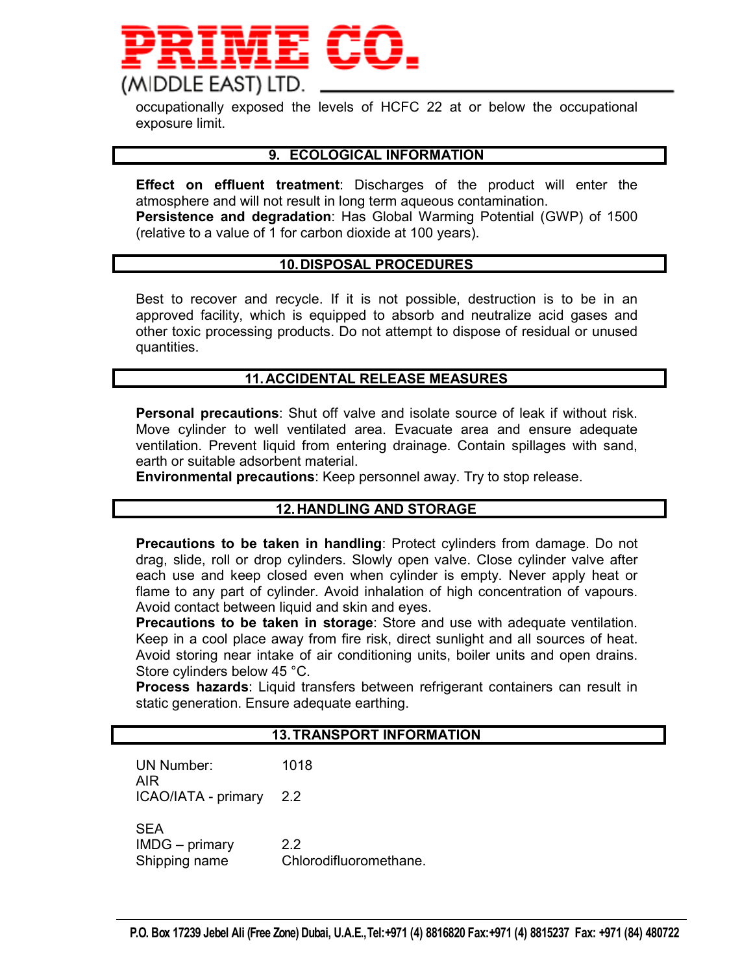

occupationally exposed the levels of HCFC 22 at or below the occupational exposure limit.

#### **9. ECOLOGICAL INFORMATION**

**Effect on effluent treatment**: Discharges of the product will enter the atmosphere and will not result in long term aqueous contamination. **Persistence and degradation**: Has Global Warming Potential (GWP) of 1500 (relative to a value of 1 for carbon dioxide at 100 years).

#### **10. DISPOSAL PROCEDURES**

Best to recover and recycle. If it is not possible, destruction is to be in an approved facility, which is equipped to absorb and neutralize acid gases and other toxic processing products. Do not attempt to dispose of residual or unused quantities.

#### **11. ACCIDENTAL RELEASE MEASURES**

**Personal precautions**: Shut off valve and isolate source of leak if without risk. Move cylinder to well ventilated area. Evacuate area and ensure adequate ventilation. Prevent liquid from entering drainage. Contain spillages with sand, earth or suitable adsorbent material.

**Environmental precautions**: Keep personnel away. Try to stop release.

#### **12. HANDLING AND STORAGE**

**Precautions to be taken in handling**: Protect cylinders from damage. Do not drag, slide, roll or drop cylinders. Slowly open valve. Close cylinder valve after each use and keep closed even when cylinder is empty. Never apply heat or flame to any part of cylinder. Avoid inhalation of high concentration of vapours. Avoid contact between liquid and skin and eyes.

**Precautions to be taken in storage**: Store and use with adequate ventilation. Keep in a cool place away from fire risk, direct sunlight and all sources of heat. Avoid storing near intake of air conditioning units, boiler units and open drains. Store cylinders below 45 °C.

**Process hazards**: Liquid transfers between refrigerant containers can result in static generation. Ensure adequate earthing.

#### **13. TRANSPORT INFORMATION**

UN Number: 1018 AIR ICAO/IATA - primary 2.2 SEA IMDG – primary 2.2 Shipping name Chlorodifluoromethane.